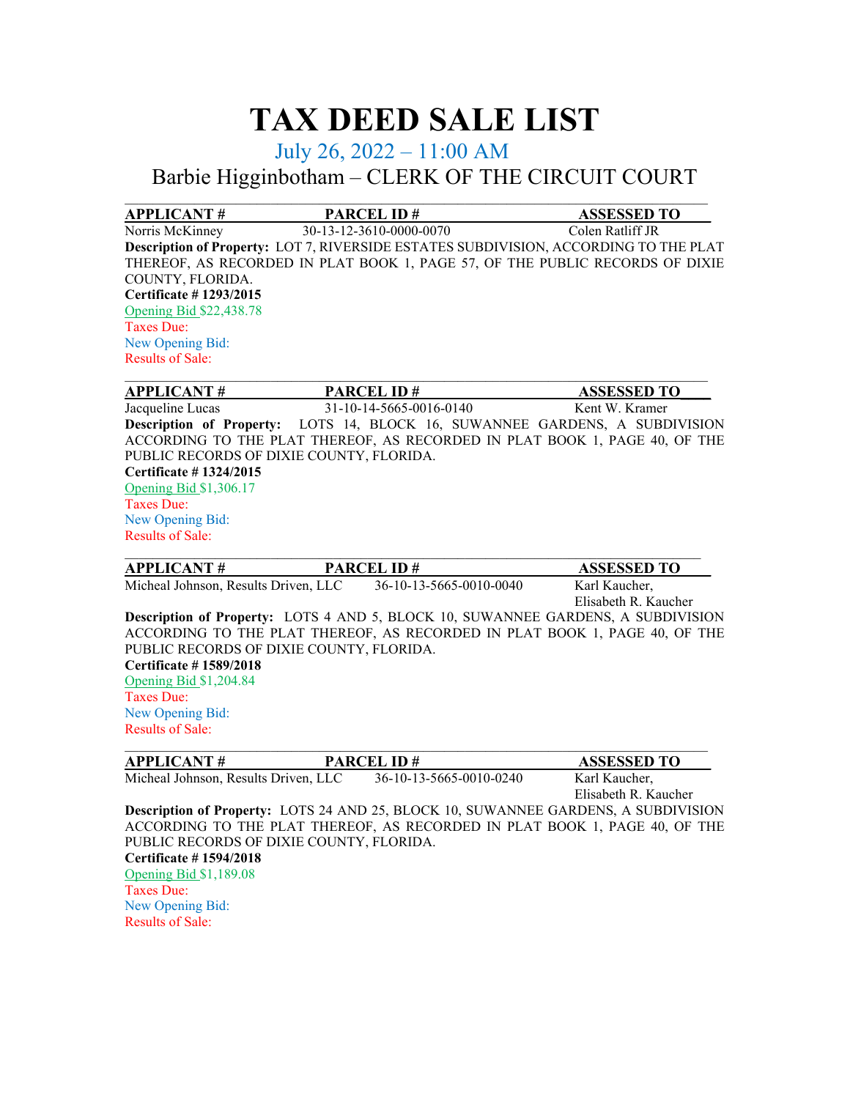# **TAX DEED SALE LIST**

### July 26, 2022 – 11:00 AM

## Barbie Higginbotham – CLERK OF THE CIRCUIT COURT

| <b>APPLICANT#</b>                                                          | <b>PARCEL ID#</b>       | <b>ASSESSED TO</b>                                                                   |  |  |  |
|----------------------------------------------------------------------------|-------------------------|--------------------------------------------------------------------------------------|--|--|--|
| Norris McKinney                                                            | 30-13-12-3610-0000-0070 | Colen Ratliff JR                                                                     |  |  |  |
|                                                                            |                         | Description of Property: LOT 7, RIVERSIDE ESTATES SUBDIVISION, ACCORDING TO THE PLAT |  |  |  |
|                                                                            |                         | THEREOF, AS RECORDED IN PLAT BOOK 1, PAGE 57, OF THE PUBLIC RECORDS OF DIXIE         |  |  |  |
| COUNTY, FLORIDA.                                                           |                         |                                                                                      |  |  |  |
| Certificate #1293/2015                                                     |                         |                                                                                      |  |  |  |
| Opening Bid \$22,438.78                                                    |                         |                                                                                      |  |  |  |
| Taxes Due:                                                                 |                         |                                                                                      |  |  |  |
| New Opening Bid:                                                           |                         |                                                                                      |  |  |  |
| <b>Results of Sale:</b>                                                    |                         |                                                                                      |  |  |  |
| <b>APPLICANT#</b>                                                          | <b>PARCEL ID#</b>       | <b>ASSESSED TO</b>                                                                   |  |  |  |
| Jacqueline Lucas                                                           | 31-10-14-5665-0016-0140 | Kent W. Kramer                                                                       |  |  |  |
|                                                                            |                         | <b>Description of Property:</b> LOTS 14, BLOCK 16, SUWANNEE GARDENS, A SUBDIVISION   |  |  |  |
| ACCORDING TO THE PLAT THEREOF, AS RECORDED IN PLAT BOOK 1, PAGE 40, OF THE |                         |                                                                                      |  |  |  |
| PUBLIC RECORDS OF DIXIE COUNTY, FLORIDA.                                   |                         |                                                                                      |  |  |  |
| Certificate #1324/2015                                                     |                         |                                                                                      |  |  |  |

Opening Bid \$1,306.17 Taxes Due: New Opening Bid:

Results of Sale: \_\_\_\_\_\_\_\_\_\_\_\_\_\_\_\_\_\_\_\_\_\_\_\_\_\_\_\_\_\_\_\_\_\_\_\_\_\_\_\_\_\_\_\_\_\_\_\_\_\_\_\_\_\_\_\_\_\_\_\_\_\_\_\_\_\_\_\_\_\_\_\_\_\_\_\_\_\_\_\_\_\_\_ **APPLICANT # PARCEL ID # ASSESSED TO** Micheal Johnson, Results Driven, LLC 36-10-13-5665-0010-0040 Karl Kaucher, Elisabeth R. Kaucher **Description of Property:** LOTS 4 AND 5, BLOCK 10, SUWANNEE GARDENS, A SUBDIVISION ACCORDING TO THE PLAT THEREOF, AS RECORDED IN PLAT BOOK 1, PAGE 40, OF THE PUBLIC RECORDS OF DIXIE COUNTY, FLORIDA. **Certificate # 1589/2018** Opening Bid \$1,204.84 Taxes Due: New Opening Bid: Results of Sale: \_\_\_\_\_\_\_\_\_\_\_\_\_\_\_\_\_\_\_\_\_\_\_\_\_\_\_\_\_\_\_\_\_\_\_\_\_\_\_\_\_\_\_\_\_\_\_\_\_\_\_\_\_\_\_\_\_\_\_\_\_\_\_\_\_\_\_\_\_\_\_\_\_\_\_\_\_\_\_\_\_\_\_\_ **APPLICANT # PARCEL ID # ASSESSED TO\_\_\_\_**

| APPLICANT#                               | PARCEL ID #             | ASSESSED TO                                                                        |
|------------------------------------------|-------------------------|------------------------------------------------------------------------------------|
| Micheal Johnson, Results Driven, LLC     | 36-10-13-5665-0010-0240 | Karl Kaucher,                                                                      |
|                                          |                         | Elisabeth R. Kaucher                                                               |
|                                          |                         | Description of Property: LOTS 24 AND 25, BLOCK 10, SUWANNEE GARDENS, A SUBDIVISION |
|                                          |                         | ACCORDING TO THE PLAT THEREOF, AS RECORDED IN PLAT BOOK 1, PAGE 40, OF THE         |
| PUBLIC RECORDS OF DIXIE COUNTY, FLORIDA. |                         |                                                                                    |
| <b>Certificate #1594/2018</b>            |                         |                                                                                    |
| Opening Bid \$1,189.08                   |                         |                                                                                    |
| Taxes Due:                               |                         |                                                                                    |
| New Opening Bid:                         |                         |                                                                                    |
| <b>Results of Sale:</b>                  |                         |                                                                                    |
|                                          |                         |                                                                                    |